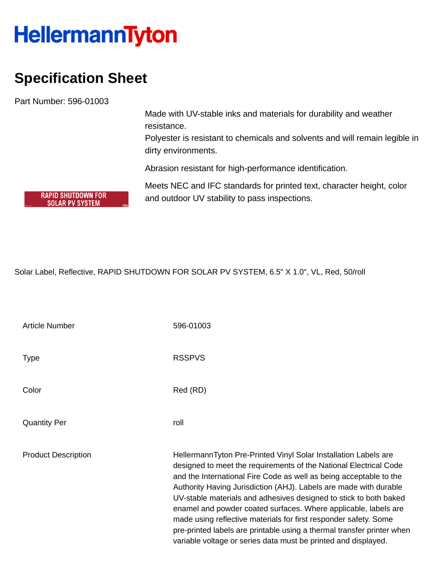## **HellermannTyton**

## **Specification Sheet**

Part Number: 596-01003

**RAPID SHUTDOWN FOR SOLAR PV SYSTEM** 

Made with UV-stable inks and materials for durability and weather resistance.

Polyester is resistant to chemicals and solvents and will remain legible in dirty environments.

Abrasion resistant for high-performance identification.

Meets NEC and IFC standards for printed text, character height, color and outdoor UV stability to pass inspections.

Solar Label, Reflective, RAPID SHUTDOWN FOR SOLAR PV SYSTEM, 6.5" X 1.0", VL, Red, 50/roll

| <b>Article Number</b>      | 596-01003                                                                                                                                                                                                                                                                                                                                                                                                                                                                                                                                                                                                                               |
|----------------------------|-----------------------------------------------------------------------------------------------------------------------------------------------------------------------------------------------------------------------------------------------------------------------------------------------------------------------------------------------------------------------------------------------------------------------------------------------------------------------------------------------------------------------------------------------------------------------------------------------------------------------------------------|
| Type                       | <b>RSSPVS</b>                                                                                                                                                                                                                                                                                                                                                                                                                                                                                                                                                                                                                           |
| Color                      | Red (RD)                                                                                                                                                                                                                                                                                                                                                                                                                                                                                                                                                                                                                                |
| <b>Quantity Per</b>        | roll                                                                                                                                                                                                                                                                                                                                                                                                                                                                                                                                                                                                                                    |
| <b>Product Description</b> | HellermannTyton Pre-Printed Vinyl Solar Installation Labels are<br>designed to meet the requirements of the National Electrical Code<br>and the International Fire Code as well as being acceptable to the<br>Authority Having Jurisdiction (AHJ). Labels are made with durable<br>UV-stable materials and adhesives designed to stick to both baked<br>enamel and powder coated surfaces. Where applicable, labels are<br>made using reflective materials for first responder safety. Some<br>pre-printed labels are printable using a thermal transfer printer when<br>variable voltage or series data must be printed and displayed. |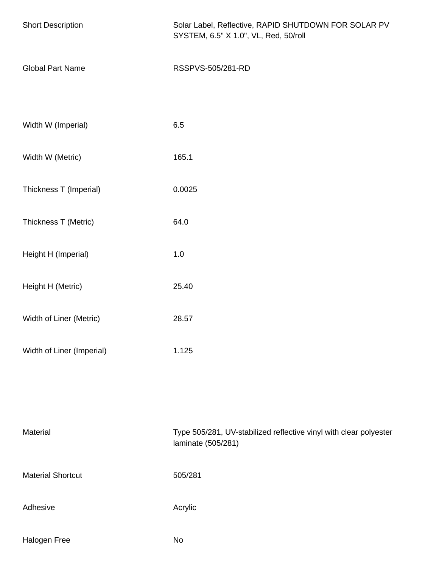| <b>Short Description</b>  | Solar Label, Reflective, RAPID SHUTDOWN FOR SOLAR PV<br>SYSTEM, 6.5" X 1.0", VL, Red, 50/roll |  |
|---------------------------|-----------------------------------------------------------------------------------------------|--|
| <b>Global Part Name</b>   | RSSPVS-505/281-RD                                                                             |  |
| Width W (Imperial)        | 6.5                                                                                           |  |
| Width W (Metric)          | 165.1                                                                                         |  |
| Thickness T (Imperial)    | 0.0025                                                                                        |  |
| Thickness T (Metric)      | 64.0                                                                                          |  |
| Height H (Imperial)       | $1.0\,$                                                                                       |  |
| Height H (Metric)         | 25.40                                                                                         |  |
| Width of Liner (Metric)   | 28.57                                                                                         |  |
| Width of Liner (Imperial) | 1.125                                                                                         |  |
|                           |                                                                                               |  |
| Material                  | Type 505/281, UV-stabilized reflective vinyl with clear polyester<br>laminate (505/281)       |  |
| <b>Material Shortcut</b>  | 505/281                                                                                       |  |
| Adhesive                  | Acrylic                                                                                       |  |
| Halogen Free              | No                                                                                            |  |